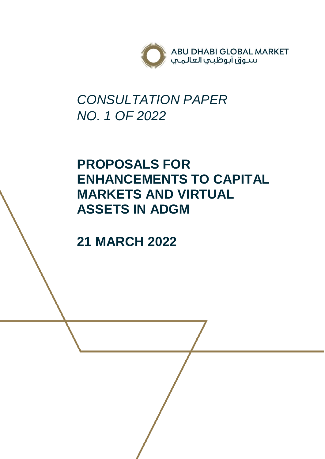

# *CONSULTATION PAPER NO. 1 OF 2022*

# **PROPOSALS FOR ENHANCEMENTS TO CAPITAL MARKETS AND VIRTUAL ASSETS IN ADGM**

**21 MARCH 2022**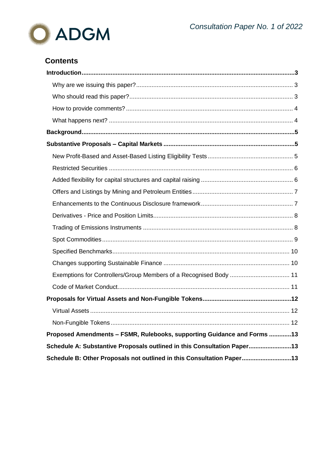

# **Contents**

| Proposed Amendments - FSMR, Rulebooks, supporting Guidance and Forms 13 |  |
|-------------------------------------------------------------------------|--|
| Schedule A: Substantive Proposals outlined in this Consultation Paper13 |  |
| Schedule B: Other Proposals not outlined in this Consultation Paper13   |  |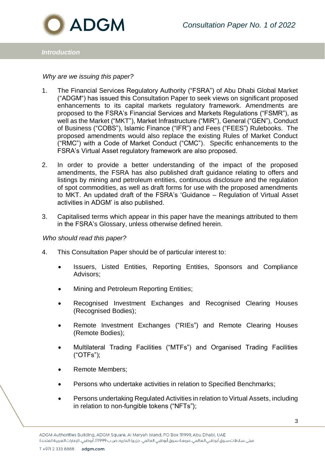

## *Introduction*

#### <span id="page-2-0"></span>*Why are we issuing this paper?*

- 1. The Financial Services Regulatory Authority ("FSRA") of Abu Dhabi Global Market ("ADGM") has issued this Consultation Paper to seek views on significant proposed enhancements to its capital markets regulatory framework. Amendments are proposed to the FSRA's Financial Services and Markets Regulations ("FSMR"), as well as the Market ("MKT"), Market Infrastructure ("MIR"), General ("GEN"), Conduct of Business ("COBS"), Islamic Finance ("IFR") and Fees ("FEES") Rulebooks. The proposed amendments would also replace the existing Rules of Market Conduct ("RMC") with a Code of Market Conduct ("CMC"). Specific enhancements to the FSRA's Virtual Asset regulatory framework are also proposed.
- 2. In order to provide a better understanding of the impact of the proposed amendments, the FSRA has also published draft guidance relating to offers and listings by mining and petroleum entities, continuous disclosure and the regulation of spot commodities, as well as draft forms for use with the proposed amendments to MKT. An updated draft of the FSRA's 'Guidance – Regulation of Virtual Asset activities in ADGM' is also published.
- 3. Capitalised terms which appear in this paper have the meanings attributed to them in the FSRA's Glossary, unless otherwise defined herein.

#### <span id="page-2-1"></span>*Who should read this paper?*

- 4. This Consultation Paper should be of particular interest to:
	- Issuers, Listed Entities, Reporting Entities, Sponsors and Compliance Advisors;
	- Mining and Petroleum Reporting Entities;
	- Recognised Investment Exchanges and Recognised Clearing Houses (Recognised Bodies);
	- Remote Investment Exchanges ("RIEs") and Remote Clearing Houses (Remote Bodies);
	- Multilateral Trading Facilities ("MTFs") and Organised Trading Facilities ("OTFs");
	- Remote Members;
	- Persons who undertake activities in relation to Specified Benchmarks;
	- Persons undertaking Regulated Activities in relation to Virtual Assets, including in relation to non-fungible tokens ("NFTs");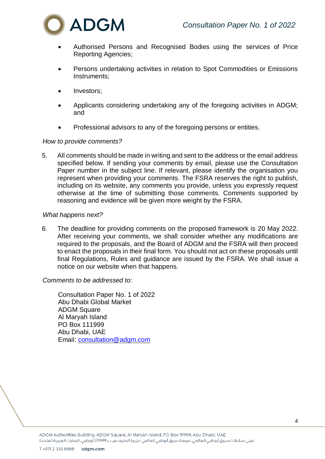

- Authorised Persons and Recognised Bodies using the services of Price Reporting Agencies;
- Persons undertaking activities in relation to Spot Commodities or Emissions Instruments;
- Investors;
- Applicants considering undertaking any of the foregoing activities in ADGM; and
- Professional advisors to any of the foregoing persons or entities.

### <span id="page-3-0"></span>*How to provide comments?*

5. All comments should be made in writing and sent to the address or the email address specified below. If sending your comments by email, please use the Consultation Paper number in the subject line. If relevant, please identify the organisation you represent when providing your comments. The FSRA reserves the right to publish, including on its website, any comments you provide, unless you expressly request otherwise at the time of submitting those comments. Comments supported by reasoning and evidence will be given more weight by the FSRA.

#### <span id="page-3-1"></span>*What happens next?*

6. The deadline for providing comments on the proposed framework is 20 May 2022. After receiving your comments, we shall consider whether any modifications are required to the proposals, and the Board of ADGM and the FSRA will then proceed to enact the proposals in their final form. You should not act on these proposals until final Regulations, Rules and guidance are issued by the FSRA. We shall issue a notice on our website when that happens.

*Comments to be addressed to:*

Consultation Paper No. 1 of 2022 Abu Dhabi Global Market ADGM Square Al Maryah Island PO Box 111999 Abu Dhabi, UAE Email: [consultation@adgm.com](mailto:consultation@adgm.com)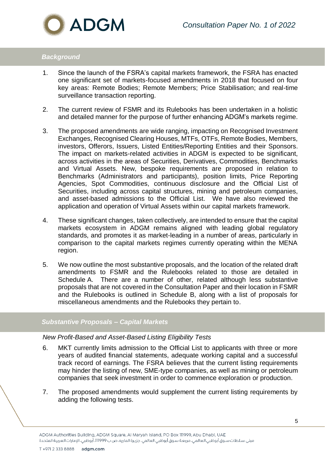

# *Background*

- 1. Since the launch of the FSRA's capital markets framework, the FSRA has enacted one significant set of markets-focused amendments in 2018 that focused on four key areas: Remote Bodies; Remote Members; Price Stabilisation; and real-time surveillance transaction reporting.
- 2. The current review of FSMR and its Rulebooks has been undertaken in a holistic and detailed manner for the purpose of further enhancing ADGM's markets regime.
- 3. The proposed amendments are wide ranging, impacting on Recognised Investment Exchanges, Recognised Clearing Houses, MTFs, OTFs, Remote Bodies, Members, investors, Offerors, Issuers, Listed Entities/Reporting Entities and their Sponsors. The impact on markets-related activities in ADGM is expected to be significant, across activities in the areas of Securities, Derivatives, Commodities, Benchmarks and Virtual Assets. New, bespoke requirements are proposed in relation to Benchmarks (Administrators and participants), position limits, Price Reporting Agencies, Spot Commodities, continuous disclosure and the Official List of Securities, including across capital structures, mining and petroleum companies, and asset-based admissions to the Official List. We have also reviewed the application and operation of Virtual Assets within our capital markets framework.
- 4. These significant changes, taken collectively, are intended to ensure that the capital markets ecosystem in ADGM remains aligned with leading global regulatory standards, and promotes it as market-leading in a number of areas, particularly in comparison to the capital markets regimes currently operating within the MENA region.
- 5. We now outline the most substantive proposals, and the location of the related draft amendments to FSMR and the Rulebooks related to those are detailed in Schedule A. There are a number of other, related although less substantive proposals that are not covered in the Consultation Paper and their location in FSMR and the Rulebooks is outlined in Schedule B, along with a list of proposals for miscellaneous amendments and the Rulebooks they pertain to.

# *Substantive Proposals – Capital Markets*

# <span id="page-4-0"></span>*New Profit-Based and Asset-Based Listing Eligibility Tests*

- 6. MKT currently limits admission to the Official List to applicants with three or more years of audited financial statements, adequate working capital and a successful track record of earnings. The FSRA believes that the current listing requirements may hinder the listing of new, SME-type companies, as well as mining or petroleum companies that seek investment in order to commence exploration or production.
- 7. The proposed amendments would supplement the current listing requirements by adding the following tests.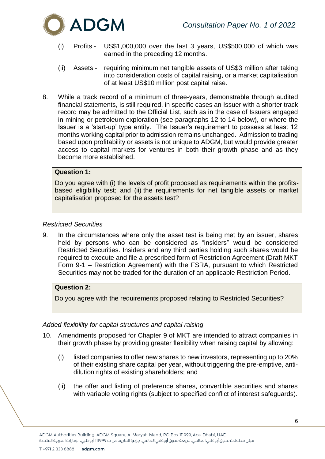

- (i) Profits US\$1,000,000 over the last 3 years, US\$500,000 of which was earned in the preceding 12 months.
- (ii) Assets requiring minimum net tangible assets of US\$3 million after taking into consideration costs of capital raising, or a market capitalisation of at least US\$10 million post capital raise.
- 8. While a track record of a minimum of three-years, demonstrable through audited financial statements, is still required, in specific cases an Issuer with a shorter track record may be admitted to the Official List, such as in the case of Issuers engaged in mining or petroleum exploration (see paragraphs 12 to 14 below), or where the Issuer is a 'start-up' type entity. The Issuer's requirement to possess at least 12 months working capital prior to admission remains unchanged. Admission to trading based upon profitability or assets is not unique to ADGM, but would provide greater access to capital markets for ventures in both their growth phase and as they become more established.

# **Question 1:**

Do you agree with (i) the levels of profit proposed as requirements within the profitsbased eligibility test; and (ii) the requirements for net tangible assets or market capitalisation proposed for the assets test?

## <span id="page-5-0"></span>*Restricted Securities*

9. In the circumstances where only the asset test is being met by an issuer, shares held by persons who can be considered as "insiders" would be considered Restricted Securities. Insiders and any third parties holding such shares would be required to execute and file a prescribed form of Restriction Agreement (Draft MKT Form 9-1 – Restriction Agreement) with the FSRA, pursuant to which Restricted Securities may not be traded for the duration of an applicable Restriction Period.

# **Question 2:**

Do you agree with the requirements proposed relating to Restricted Securities?

#### <span id="page-5-1"></span>*Added flexibility for capital structures and capital raising*

- 10. Amendments proposed for Chapter 9 of MKT are intended to attract companies in their growth phase by providing greater flexibility when raising capital by allowing:
	- (i) listed companies to offer new shares to new investors, representing up to 20% of their existing share capital per year, without triggering the pre-emptive, antidilution rights of existing shareholders; and
	- (ii) the offer and listing of preference shares, convertible securities and shares with variable voting rights (subject to specified conflict of interest safeguards).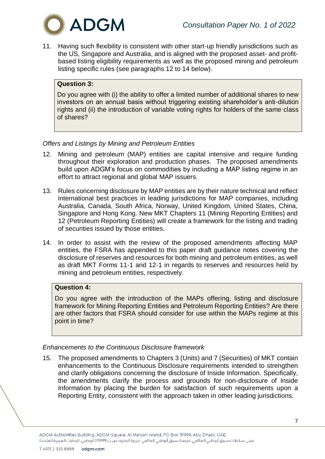

11. Having such flexibility is consistent with other start-up friendly jurisdictions such as the US, Singapore and Australia, and is aligned with the proposed asset- and profitbased listing eligibility requirements as well as the proposed mining and petroleum listing specific rules (see paragraphs 12 to 14 below).

# **Question 3:**

Do you agree with (i) the ability to offer a limited number of additional shares to new investors on an annual basis without triggering existing shareholder's anti-dilution rights and (ii) the introduction of variable voting rights for holders of the same class of shares?

# <span id="page-6-0"></span>*Offers and Listings by Mining and Petroleum Entities*

- 12. Mining and petroleum (MAP) entities are capital intensive and require funding throughout their exploration and production phases. The proposed amendments build upon ADGM's focus on commodities by including a MAP listing regime in an effort to attract regional and global MAP issuers.
- 13. Rules concerning disclosure by MAP entities are by their nature technical and reflect international best practices in leading jurisdictions for MAP companies, including Australia, Canada, South Africa, Norway, United Kingdom, United States, China, Singapore and Hong Kong. New MKT Chapters 11 (Mining Reporting Entities) and 12 (Petroleum Reporting Entities) will create a framework for the listing and trading of securities issued by those entities.
- 14. In order to assist with the review of the proposed amendments affecting MAP entities, the FSRA has appended to this paper draft guidance notes covering the disclosure of reserves and resources for both mining and petroleum entities, as well as draft MKT Forms 11-1 and 12-1 in regards to reserves and resources held by mining and petroleum entities, respectively.

# **Question 4:**

Do you agree with the introduction of the MAPs offering, listing and disclosure framework for Mining Reporting Entities and Petroleum Reporting Entities? Are there are other factors that FSRA should consider for use within the MAPs regime at this point in time?

# <span id="page-6-1"></span>*Enhancements to the Continuous Disclosure framework*

15. The proposed amendments to Chapters 3 (Units) and 7 (Securities) of MKT contain enhancements to the Continuous Disclosure requirements intended to strengthen and clarify obligations concerning the disclosure of Inside Information. Specifically, the amendments clarify the process and grounds for non-disclosure of Inside Information by placing the burden for satisfaction of such requirements upon a Reporting Entity, consistent with the approach taken in other leading jurisdictions.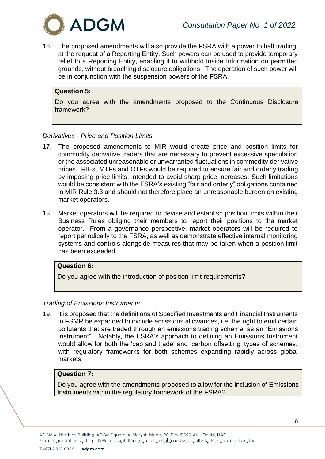

16. The proposed amendments will also provide the FSRA with a power to halt trading, at the request of a Reporting Entity. Such powers can be used to provide temporary relief to a Reporting Entity, enabling it to withhold Inside Information on permitted grounds, without breaching disclosure obligations. The operation of such power will be in conjunction with the suspension powers of the FSRA.

# **Question 5:**

Do you agree with the amendments proposed to the Continuous Disclosure framework?

#### <span id="page-7-0"></span>*Derivatives - Price and Position Limits*

- 17. The proposed amendments to MIR would create price and position limits for commodity derivative traders that are necessary to prevent excessive speculation or the associated unreasonable or unwarranted fluctuations in commodity derivative prices. RIEs, MTFs and OTFs would be required to ensure fair and orderly trading by imposing price limits, intended to avoid sharp price increases. Such limitations would be consistent with the FSRA's existing "fair and orderly" obligations contained in MIR Rule 3.3 and should not therefore place an unreasonable burden on existing market operators.
- 18. Market operators will be required to devise and establish position limits within their Business Rules obliging their members to report their positions to the market operator. From a governance perspective, market operators will be required to report periodically to the FSRA, as well as demonstrate effective internal monitoring systems and controls alongside measures that may be taken when a position limit has been exceeded.

# **Question 6:**

Do you agree with the introduction of position limit requirements?

#### <span id="page-7-1"></span>*Trading of Emissions Instruments*

19. It is proposed that the definitions of Specified Investments and Financial Instruments in FSMR be expanded to include emissions allowances, i.e. the right to emit certain pollutants that are traded through an emissions trading scheme, as an "Emissions Instrument". Notably, the FSRA's approach to defining an Emissions Instrument would allow for both the 'cap and trade' and 'carbon offsetting' types of schemes, with regulatory frameworks for both schemes expanding rapidly across global markets.

# **Question 7:**

Do you agree with the amendments proposed to allow for the inclusion of Emissions Instruments within the regulatory framework of the FSRA?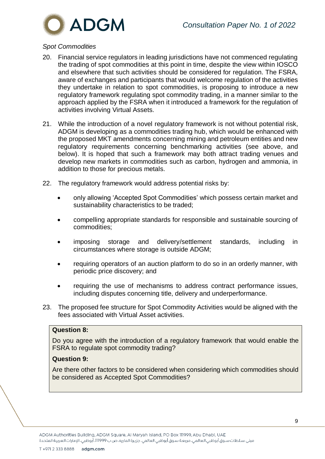

# <span id="page-8-0"></span>*Spot Commodities*

- 20. Financial service regulators in leading jurisdictions have not commenced regulating the trading of spot commodities at this point in time, despite the view within IOSCO and elsewhere that such activities should be considered for regulation. The FSRA, aware of exchanges and participants that would welcome regulation of the activities they undertake in relation to spot commodities, is proposing to introduce a new regulatory framework regulating spot commodity trading, in a manner similar to the approach applied by the FSRA when it introduced a framework for the regulation of activities involving Virtual Assets.
- 21. While the introduction of a novel regulatory framework is not without potential risk, ADGM is developing as a commodities trading hub, which would be enhanced with the proposed MKT amendments concerning mining and petroleum entities and new regulatory requirements concerning benchmarking activities (see above, and below). It is hoped that such a framework may both attract trading venues and develop new markets in commodities such as carbon, hydrogen and ammonia, in addition to those for precious metals.
- 22. The regulatory framework would address potential risks by:
	- only allowing 'Accepted Spot Commodities' which possess certain market and sustainability characteristics to be traded;
	- compelling appropriate standards for responsible and sustainable sourcing of commodities;
	- imposing storage and delivery/settlement standards, including in circumstances where storage is outside ADGM;
	- requiring operators of an auction platform to do so in an orderly manner, with periodic price discovery; and
	- requiring the use of mechanisms to address contract performance issues, including disputes concerning title, delivery and underperformance.
- 23. The proposed fee structure for Spot Commodity Activities would be aligned with the fees associated with Virtual Asset activities.

#### **Question 8:**

Do you agree with the introduction of a regulatory framework that would enable the FSRA to regulate spot commodity trading?

# **Question 9:**

Are there other factors to be considered when considering which commodities should be considered as Accepted Spot Commodities?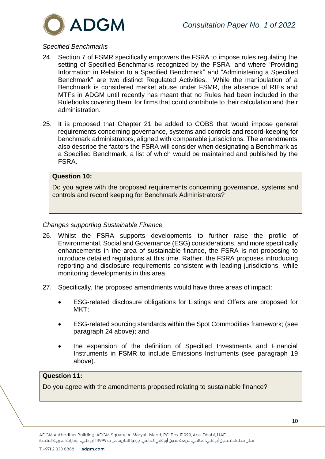

# <span id="page-9-0"></span>*Specified Benchmarks*

- 24. Section 7 of FSMR specifically empowers the FSRA to impose rules regulating the setting of Specified Benchmarks recognized by the FSRA, and where "Providing Information in Relation to a Specified Benchmark" and "Administering a Specified Benchmark" are two distinct Regulated Activities. While the manipulation of a Benchmark is considered market abuse under FSMR, the absence of RIEs and MTFs in ADGM until recently has meant that no Rules had been included in the Rulebooks covering them, for firms that could contribute to their calculation and their administration.
- 25. It is proposed that Chapter 21 be added to COBS that would impose general requirements concerning governance, systems and controls and record-keeping for benchmark administrators, aligned with comparable jurisdictions. The amendments also describe the factors the FSRA will consider when designating a Benchmark as a Specified Benchmark, a list of which would be maintained and published by the FSRA.

# **Question 10:**

Do you agree with the proposed requirements concerning governance, systems and controls and record keeping for Benchmark Administrators?

### <span id="page-9-1"></span>*Changes supporting Sustainable Finance*

- 26. Whilst the FSRA supports developments to further raise the profile of Environmental, Social and Governance (ESG) considerations, and more specifically enhancements in the area of sustainable finance, the FSRA is not proposing to introduce detailed regulations at this time. Rather, the FSRA proposes introducing reporting and disclosure requirements consistent with leading jurisdictions, while monitoring developments in this area.
- 27. Specifically, the proposed amendments would have three areas of impact:
	- ESG-related disclosure obligations for Listings and Offers are proposed for MKT;
	- ESG-related sourcing standards within the Spot Commodities framework; (see paragraph 24 above); and
	- the expansion of the definition of Specified Investments and Financial Instruments in FSMR to include Emissions Instruments (see paragraph 19 above).

## **Question 11:**

Do you agree with the amendments proposed relating to sustainable finance?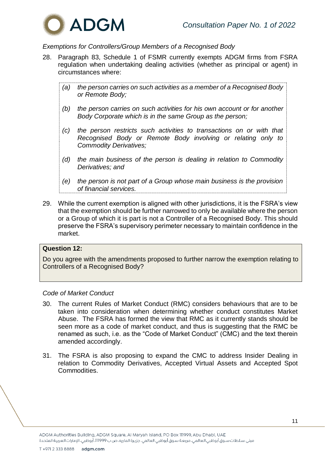

# <span id="page-10-0"></span>*Exemptions for Controllers/Group Members of a Recognised Body*

- 28. Paragraph 83, Schedule 1 of FSMR currently exempts ADGM firms from FSRA regulation when undertaking dealing activities (whether as principal or agent) in circumstances where:
	- *(a) the person carries on such activities as a member of a Recognised Body or Remote Body;*
	- *(b) the person carries on such activities for his own account or for another Body Corporate which is in the same Group as the person;*
	- *(c) the person restricts such activities to transactions on or with that Recognised Body or Remote Body involving or relating only to Commodity Derivatives;*
	- *(d) the main business of the person is dealing in relation to Commodity Derivatives; and*
	- *(e) the person is not part of a Group whose main business is the provision of financial services.*
- 29. While the current exemption is aligned with other jurisdictions, it is the FSRA's view that the exemption should be further narrowed to only be available where the person or a Group of which it is part is not a Controller of a Recognised Body. This should preserve the FSRA's supervisory perimeter necessary to maintain confidence in the market.

## **Question 12:**

Do you agree with the amendments proposed to further narrow the exemption relating to Controllers of a Recognised Body?

#### <span id="page-10-1"></span>*Code of Market Conduct*

- 30. The current Rules of Market Conduct (RMC) considers behaviours that are to be taken into consideration when determining whether conduct constitutes Market Abuse. The FSRA has formed the view that RMC as it currently stands should be seen more as a code of market conduct, and thus is suggesting that the RMC be renamed as such, i.e. as the "Code of Market Conduct" (CMC) and the text therein amended accordingly.
- 31. The FSRA is also proposing to expand the CMC to address Insider Dealing in relation to Commodity Derivatives, Accepted Virtual Assets and Accepted Spot **Commodities**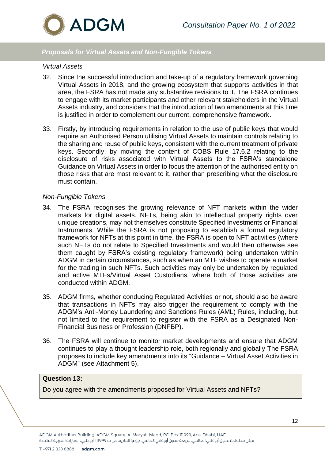

# *Proposals for Virtual Assets and Non-Fungible Tokens*

#### <span id="page-11-0"></span>*Virtual Assets*

- 32. Since the successful introduction and take-up of a regulatory framework governing Virtual Assets in 2018, and the growing ecosystem that supports activities in that area, the FSRA has not made any substantive revisions to it. The FSRA continues to engage with its market participants and other relevant stakeholders in the Virtual Assets industry, and considers that the introduction of two amendments at this time is justified in order to complement our current, comprehensive framework.
- 33. Firstly, by introducing requirements in relation to the use of public keys that would require an Authorised Person utilising Virtual Assets to maintain controls relating to the sharing and reuse of public keys, consistent with the current treatment of private keys. Secondly, by moving the content of COBS Rule 17.6.2 relating to the disclosure of risks associated with Virtual Assets to the FSRA's standalone Guidance on Virtual Assets in order to focus the attention of the authorised entity on those risks that are most relevant to it, rather than prescribing what the disclosure must contain.

#### <span id="page-11-1"></span>*Non-Fungible Tokens*

- 34. The FSRA recognises the growing relevance of NFT markets within the wider markets for digital assets. NFTs, being akin to intellectual property rights over unique creations, may not themselves constitute Specified Investments or Financial Instruments. While the FSRA is not proposing to establish a formal regulatory framework for NFTs at this point in time, the FSRA is open to NFT activities (where such NFTs do not relate to Specified Investments and would then otherwise see them caught by FSRA's existing regulatory framework) being undertaken within ADGM in certain circumstances, such as when an MTF wishes to operate a market for the trading in such NFTs. Such activities may only be undertaken by regulated and active MTFs/Virtual Asset Custodians, where both of those activities are conducted within ADGM.
- 35. ADGM firms, whether conducing Regulated Activities or not, should also be aware that transactions in NFTs may also trigger the requirement to comply with the ADGM's Anti-Money Laundering and Sanctions Rules (AML) Rules, including, but not limited to the requirement to register with the FSRA as a Designated Non-Financial Business or Profession (DNFBP).
- 36. The FSRA will continue to monitor market developments and ensure that ADGM continues to play a thought leadership role, both regionally and globally The FSRA proposes to include key amendments into its "Guidance – Virtual Asset Activities in ADGM" (see Attachment 5).

# **Question 13:**

Do you agree with the amendments proposed for Virtual Assets and NFTs?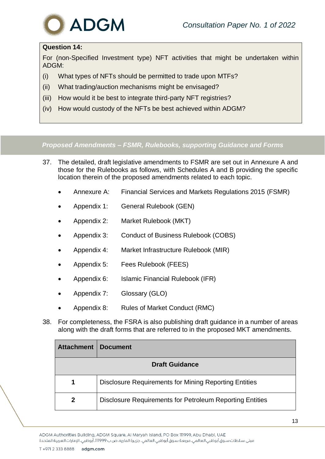

# **Question 14:**

For (non-Specified Investment type) NFT activities that might be undertaken within ADGM:

- (i) What types of NFTs should be permitted to trade upon MTFs?
- (ii) What trading/auction mechanisms might be envisaged?
- (iii) How would it be best to integrate third-party NFT registries?
- (iv) How would custody of the NFTs be best achieved within ADGM?

*Proposed Amendments – FSMR, Rulebooks, supporting Guidance and Forms*

- 37. The detailed, draft legislative amendments to FSMR are set out in Annexure A and those for the Rulebooks as follows, with Schedules A and B providing the specific location therein of the proposed amendments related to each topic.
	- Annexure A: Financial Services and Markets Regulations 2015 (FSMR)
	- Appendix 1: General Rulebook (GEN)
	- Appendix 2: Market Rulebook (MKT)
	- Appendix 3: Conduct of Business Rulebook (COBS)
	- Appendix 4: Market Infrastructure Rulebook (MIR)
	- Appendix 5: Fees Rulebook (FEES)
	- Appendix 6: Islamic Financial Rulebook (IFR)
	- Appendix 7: Glossary (GLO)
	- Appendix 8: Rules of Market Conduct (RMC)
- 38. For completeness, the FSRA is also publishing draft guidance in a number of areas along with the draft forms that are referred to in the proposed MKT amendments.

| <b>Attachment</b>     | <b>Document</b>                                              |  |  |
|-----------------------|--------------------------------------------------------------|--|--|
| <b>Draft Guidance</b> |                                                              |  |  |
| 1                     | <b>Disclosure Requirements for Mining Reporting Entities</b> |  |  |
| 2                     | Disclosure Requirements for Petroleum Reporting Entities     |  |  |

ADGM Authorities Building, ADGM Square, Al Maryah Island, PO Box 111999, Abu Dhabi, UAE مبنى سـلطات سـوق أبوظبى العالمي، مربعة سـوق أبوظبي العالمي، جزيرة الماريه، ص ب 11999، أبوظبي، الإمارات العربية المتحدة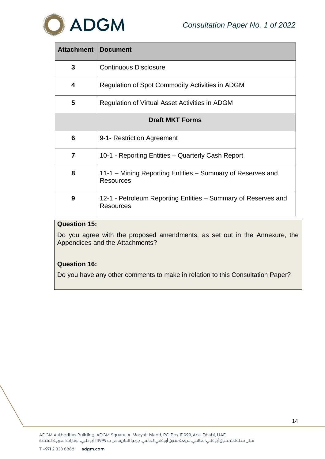



| <b>Attachment</b>      | <b>Document</b>                                                                   |  |  |
|------------------------|-----------------------------------------------------------------------------------|--|--|
| 3                      | <b>Continuous Disclosure</b>                                                      |  |  |
| 4                      | Regulation of Spot Commodity Activities in ADGM                                   |  |  |
| 5                      | Regulation of Virtual Asset Activities in ADGM                                    |  |  |
| <b>Draft MKT Forms</b> |                                                                                   |  |  |
| 6                      | 9-1- Restriction Agreement                                                        |  |  |
| 7                      | 10-1 - Reporting Entities - Quarterly Cash Report                                 |  |  |
| 8                      | 11-1 – Mining Reporting Entities – Summary of Reserves and<br><b>Resources</b>    |  |  |
| 9                      | 12-1 - Petroleum Reporting Entities – Summary of Reserves and<br><b>Resources</b> |  |  |

# **Question 15:**

Do you agree with the proposed amendments, as set out in the Annexure, the Appendices and the Attachments?

# **Question 16:**

Do you have any other comments to make in relation to this Consultation Paper?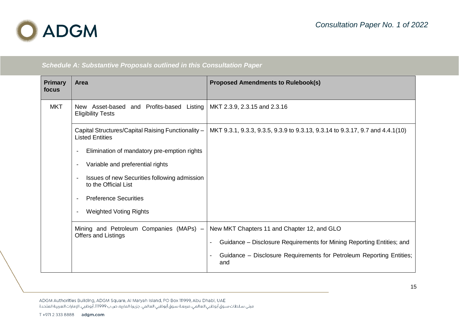

*Schedule A: Substantive Proposals outlined in this Consultation Paper*

| <b>Primary</b><br>focus | <b>Area</b>                                                                  | <b>Proposed Amendments to Rulebook(s)</b>                                     |
|-------------------------|------------------------------------------------------------------------------|-------------------------------------------------------------------------------|
| <b>MKT</b>              | New Asset-based and Profits-based Listing<br><b>Eligibility Tests</b>        | MKT 2.3.9, 2.3.15 and 2.3.16                                                  |
|                         | Capital Structures/Capital Raising Functionality -<br><b>Listed Entities</b> | MKT 9.3.1, 9.3.3, 9.3.5, 9.3.9 to 9.3.13, 9.3.14 to 9.3.17, 9.7 and 4.4.1(10) |
|                         | Elimination of mandatory pre-emption rights                                  |                                                                               |
|                         | Variable and preferential rights                                             |                                                                               |
|                         | Issues of new Securities following admission<br>to the Official List         |                                                                               |
|                         | <b>Preference Securities</b>                                                 |                                                                               |
|                         | <b>Weighted Voting Rights</b>                                                |                                                                               |
|                         | Mining and Petroleum Companies (MAPs) -<br><b>Offers and Listings</b>        | New MKT Chapters 11 and Chapter 12, and GLO                                   |
|                         |                                                                              | Guidance – Disclosure Requirements for Mining Reporting Entities; and         |
|                         |                                                                              | Guidance - Disclosure Requirements for Petroleum Reporting Entities;<br>and   |

ADGM Authorities Building, ADGM Square, Al Maryah Island, PO Box 111999, Abu Dhabi, UAE مبنى سـلطات سـوق أبوظبي العالمي، مربعـة سـوق أبوظبي العالمي، جزيـرة الماريه، ص ب ١١١999، أبوظبي، الإمارات العربيـة المتحدة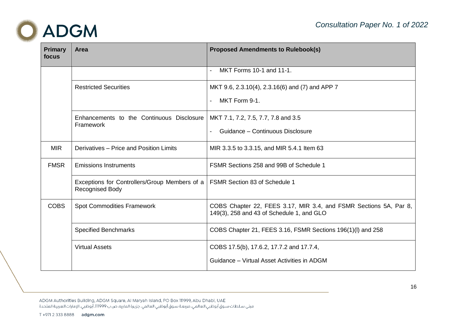

| <b>Primary</b><br>focus | <b>Area</b>                                                             | <b>Proposed Amendments to Rulebook(s)</b>                                                                      |
|-------------------------|-------------------------------------------------------------------------|----------------------------------------------------------------------------------------------------------------|
|                         |                                                                         | MKT Forms 10-1 and 11-1.                                                                                       |
|                         | <b>Restricted Securities</b>                                            | MKT 9.6, 2.3.10(4), 2.3.16(6) and (7) and APP 7                                                                |
|                         |                                                                         | MKT Form 9-1.                                                                                                  |
|                         | Enhancements to the Continuous Disclosure<br>Framework                  | MKT 7.1, 7.2, 7.5, 7.7, 7.8 and 3.5                                                                            |
|                         |                                                                         | Guidance - Continuous Disclosure                                                                               |
| <b>MIR</b>              | Derivatives - Price and Position Limits                                 | MIR 3.3.5 to 3.3.15, and MIR 5.4.1 Item 63                                                                     |
| <b>FMSR</b>             | <b>Emissions Instruments</b>                                            | FSMR Sections 258 and 99B of Schedule 1                                                                        |
|                         | Exceptions for Controllers/Group Members of a<br><b>Recognised Body</b> | <b>FSMR Section 83 of Schedule 1</b>                                                                           |
| <b>COBS</b>             | <b>Spot Commodities Framework</b>                                       | COBS Chapter 22, FEES 3.17, MIR 3.4, and FSMR Sections 5A, Par 8,<br>149(3), 258 and 43 of Schedule 1, and GLO |
|                         | <b>Specified Benchmarks</b>                                             | COBS Chapter 21, FEES 3.16, FSMR Sections 196(1)(I) and 258                                                    |
|                         | <b>Virtual Assets</b>                                                   | COBS 17.5(b), 17.6.2, 17.7.2 and 17.7.4,                                                                       |
|                         |                                                                         | Guidance - Virtual Asset Activities in ADGM                                                                    |

ADGM Authorities Building, ADGM Square, Al Maryah Island, PO Box 111999, Abu Dhabi, UAE مبنى سـلطات سـوق أبوظبي العالمي، مربعـة سـوق أبوظبي العالمي، جزيـرة الماريه، ص ب ١١١999، أبوظبي، الإمارات العربيـة المتحدة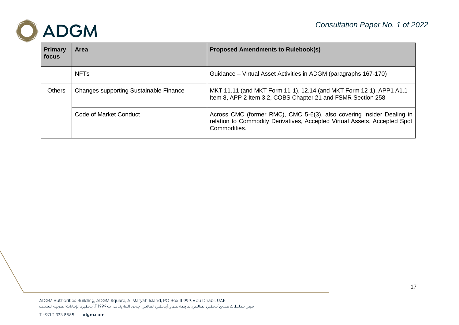

| <b>Primary</b><br>focus | <b>Area</b>                            | <b>Proposed Amendments to Rulebook(s)</b>                                                                                                                          |
|-------------------------|----------------------------------------|--------------------------------------------------------------------------------------------------------------------------------------------------------------------|
|                         | <b>NFTs</b>                            | Guidance – Virtual Asset Activities in ADGM (paragraphs 167-170)                                                                                                   |
| <b>Others</b>           | Changes supporting Sustainable Finance | MKT 11.11 (and MKT Form 11-1), 12.14 (and MKT Form 12-1), APP1 A1.1 -<br>Item 8, APP 2 Item 3.2, COBS Chapter 21 and FSMR Section 258                              |
|                         | Code of Market Conduct                 | Across CMC (former RMC), CMC 5-6(3), also covering Insider Dealing in<br>relation to Commodity Derivatives, Accepted Virtual Assets, Accepted Spot<br>Commodities. |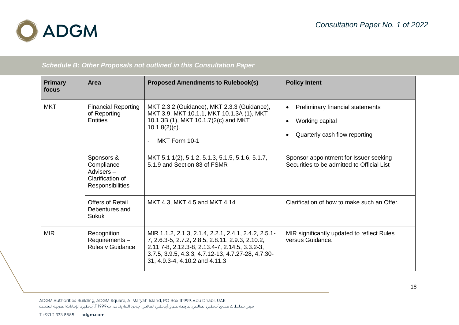

*Schedule B: Other Proposals not outlined in this Consultation Paper*

| <b>Primary</b><br>focus | <b>Area</b>                                                                   | <b>Proposed Amendments to Rulebook(s)</b>                                                                                                                                                                                                          | <b>Policy Intent</b>                                                                                           |
|-------------------------|-------------------------------------------------------------------------------|----------------------------------------------------------------------------------------------------------------------------------------------------------------------------------------------------------------------------------------------------|----------------------------------------------------------------------------------------------------------------|
| <b>MKT</b>              | <b>Financial Reporting</b><br>of Reporting<br><b>Entities</b>                 | MKT 2.3.2 (Guidance), MKT 2.3.3 (Guidance),<br>MKT 3.9, MKT 10.1.1, MKT 10.1.3A (1), MKT<br>10.1.3B (1), MKT 10.1.7(2(c) and MKT<br>$10.1.8(2)(c)$ .<br>MKT Form 10-1<br>$\overline{a}$                                                            | Preliminary financial statements<br>$\bullet$<br>Working capital<br>$\bullet$<br>Quarterly cash flow reporting |
|                         | Sponsors &<br>Compliance<br>Advisers-<br>Clarification of<br>Responsibilities | MKT 5.1.1(2), 5.1.2, 5.1.3, 5.1.5, 5.1.6, 5.1.7,<br>5.1.9 and Section 83 of FSMR                                                                                                                                                                   | Sponsor appointment for Issuer seeking<br>Securities to be admitted to Official List                           |
|                         | <b>Offers of Retail</b><br>Debentures and<br><b>Sukuk</b>                     | MKT 4.3, MKT 4.5 and MKT 4.14                                                                                                                                                                                                                      | Clarification of how to make such an Offer.                                                                    |
| <b>MIR</b>              | Recognition<br>Requirements-<br>Rules v Guidance                              | MIR 1.1.2, 2.1.3, 2.1.4, 2.2.1, 2.4.1, 2.4.2, 2.5.1-<br>7, 2.6.3-5, 2.7.2, 2.8.5, 2.8.11, 2.9.3, 2.10.2,<br>2.11.7-8, 2.12.3-8, 2.13.4-7, 2.14.5, 3.3.2-3,<br>3.7.5, 3.9.5, 4.3.3, 4.7.12-13, 4.7.27-28, 4.7.30-<br>31, 4.9.3-4, 4.10.2 and 4.11.3 | MIR significantly updated to reflect Rules<br>versus Guidance.                                                 |

ADGM Authorities Building, ADGM Square, Al Maryah Island, PO Box 111999, Abu Dhabi, UAE مبنى سـلطات سـوق أبوظبي العالمي، مربعـة سـوق أبوظبي العالمي، جزيـرة الماريه، ص ب ١١١999، أبوظبي، الإمارات العربيـة المتحدة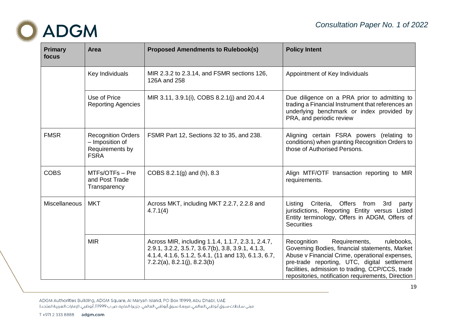

| <b>Primary</b><br>focus | <b>Area</b>                                                                    | <b>Proposed Amendments to Rulebook(s)</b>                                                                                                                                                         | <b>Policy Intent</b>                                                                                                                                                                                                                                                                                     |
|-------------------------|--------------------------------------------------------------------------------|---------------------------------------------------------------------------------------------------------------------------------------------------------------------------------------------------|----------------------------------------------------------------------------------------------------------------------------------------------------------------------------------------------------------------------------------------------------------------------------------------------------------|
|                         | Key Individuals                                                                | MIR 2.3.2 to 2.3.14, and FSMR sections 126,<br>126A and 258                                                                                                                                       | Appointment of Key Individuals                                                                                                                                                                                                                                                                           |
|                         | Use of Price<br><b>Reporting Agencies</b>                                      | MIR 3.11, 3.9.1(i), COBS 8.2.1(j) and 20.4.4                                                                                                                                                      | Due diligence on a PRA prior to admitting to<br>trading a Financial Instrument that references an<br>underlying benchmark or index provided by<br>PRA, and periodic review                                                                                                                               |
| <b>FMSR</b>             | <b>Recognition Orders</b><br>- Imposition of<br>Requirements by<br><b>FSRA</b> | FSMR Part 12, Sections 32 to 35, and 238.                                                                                                                                                         | Aligning certain FSRA powers (relating to<br>conditions) when granting Recognition Orders to<br>those of Authorised Persons.                                                                                                                                                                             |
| <b>COBS</b>             | MTFs/OTFs - Pre<br>and Post Trade<br>Transparency                              | COBS 8.2.1(g) and (h), 8.3                                                                                                                                                                        | Align MTF/OTF transaction reporting to MIR<br>requirements.                                                                                                                                                                                                                                              |
| <b>Miscellaneous</b>    | <b>MKT</b>                                                                     | Across MKT, including MKT 2.2.7, 2.2.8 and<br>4.7.1(4)                                                                                                                                            | Criteria, Offers from<br>3rd<br>Listing<br>party<br>jurisdictions, Reporting Entity versus Listed<br>Entity terminology, Offers in ADGM, Offers of<br><b>Securities</b>                                                                                                                                  |
|                         | <b>MIR</b>                                                                     | Across MIR, including 1.1.4, 1.1.7, 2.3.1, 2.4.7,<br>2.9.1, 3.2.2, 3.5.7, 3.6.7(b), 3.8, 3.9.1, 4.1.3,<br>4.1.4, 4.1.6, 5.1.2, 5.4.1, (11 and 13), 6.1.3, 6.7,<br>$7.2.2(a)$ , 8.2.1(j), 8.2.3(b) | Requirements,<br>rulebooks,<br>Recognition<br>Governing Bodies, financial statements, Market<br>Abuse v Financial Crime, operational expenses,<br>pre-trade reporting, UTC, digital settlement<br>facilities, admission to trading, CCP/CCS, trade<br>repositories, notification requirements, Direction |